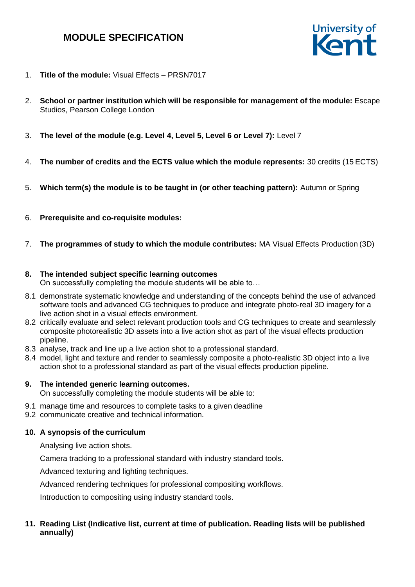

- 1. **Title of the module:** Visual Effects PRSN7017
- 2. **School or partner institution which will be responsible for management of the module:** Escape Studios, Pearson College London
- 3. **The level of the module (e.g. Level 4, Level 5, Level 6 or Level 7):** Level 7
- 4. **The number of credits and the ECTS value which the module represents:** 30 credits (15 ECTS)
- 5. **Which term(s) the module is to be taught in (or other teaching pattern):** Autumn or Spring
- 6. **Prerequisite and co-requisite modules:**
- 7. **The programmes of study to which the module contributes:** MA Visual Effects Production (3D)

## **8. The intended subject specific learning outcomes**

On successfully completing the module students will be able to…

- 8.1 demonstrate systematic knowledge and understanding of the concepts behind the use of advanced software tools and advanced CG techniques to produce and integrate photo-real 3D imagery for a live action shot in a visual effects environment.
- 8.2 critically evaluate and select relevant production tools and CG techniques to create and seamlessly composite photorealistic 3D assets into a live action shot as part of the visual effects production pipeline.
- 8.3 analyse, track and line up a live action shot to a professional standard.
- 8.4 model, light and texture and render to seamlessly composite a photo-realistic 3D object into a live action shot to a professional standard as part of the visual effects production pipeline.

## **9. The intended generic learning outcomes.**

On successfully completing the module students will be able to:

- 9.1 manage time and resources to complete tasks to a given deadline
- 9.2 communicate creative and technical information.

## **10. A synopsis of the curriculum**

Analysing live action shots.

Camera tracking to a professional standard with industry standard tools.

Advanced texturing and lighting techniques.

Advanced rendering techniques for professional compositing workflows.

Introduction to compositing using industry standard tools.

## **11. Reading List (Indicative list, current at time of publication. Reading lists will be published annually)**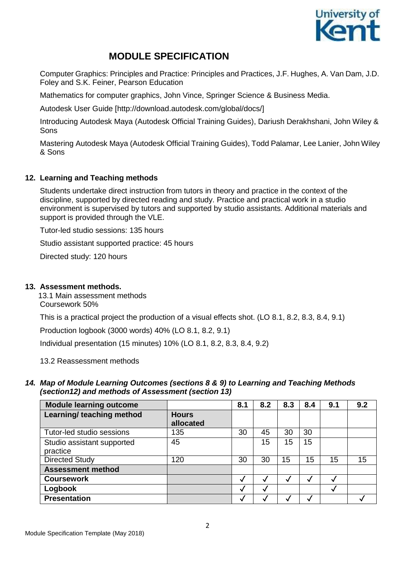

Computer Graphics: Principles and Practice: Principles and Practices, J.F. Hughes, A. Van Dam, J.D. Foley and S.K. Feiner, Pearson Education

Mathematics for computer graphics, John Vince, Springer Science & Business Media.

Autodesk User Guide [\[http://download.autodesk.com/global/docs/\]](http://download.autodesk.com/global/docs/)

Introducing Autodesk Maya (Autodesk Official Training Guides), Dariush Derakhshani, John Wiley & Sons

Mastering Autodesk Maya (Autodesk Official Training Guides), Todd Palamar, Lee Lanier, John Wiley & Sons

## **12. Learning and Teaching methods**

Students undertake direct instruction from tutors in theory and practice in the context of the discipline, supported by directed reading and study. Practice and practical work in a studio environment is supervised by tutors and supported by studio assistants. Additional materials and support is provided through the VLE.

Tutor-led studio sessions: 135 hours

Studio assistant supported practice: 45 hours

Directed study: 120 hours

#### **13. Assessment methods.**

13.1 Main assessment methods Coursework 50%

This is a practical project the production of a visual effects shot. (LO 8.1, 8.2, 8.3, 8.4, 9.1)

Production logbook (3000 words) 40% (LO 8.1, 8.2, 9.1)

Individual presentation (15 minutes) 10% (LO 8.1, 8.2, 8.3, 8.4, 9.2)

13.2 Reassessment methods

## *14. Map of Module Learning Outcomes (sections 8 & 9) to Learning and Teaching Methods (section12) and methods of Assessment (section 13)*

| <b>Module learning outcome</b>         |                           | 8.1 | 8.2 | 8.3 | 8.4 | 9.1 | 9.2 |
|----------------------------------------|---------------------------|-----|-----|-----|-----|-----|-----|
| Learning/ teaching method              | <b>Hours</b><br>allocated |     |     |     |     |     |     |
| Tutor-led studio sessions              | 135                       | 30  | 45  | 30  | 30  |     |     |
| Studio assistant supported<br>practice | 45                        |     | 15  | 15  | 15  |     |     |
| <b>Directed Study</b>                  | 120                       | 30  | 30  | 15  | 15  | 15  | 15  |
| <b>Assessment method</b>               |                           |     |     |     |     |     |     |
| <b>Coursework</b>                      |                           | v   |     |     |     |     |     |
| Logbook                                |                           | w   | Ñ   |     |     |     |     |
| <b>Presentation</b>                    |                           |     |     |     |     |     |     |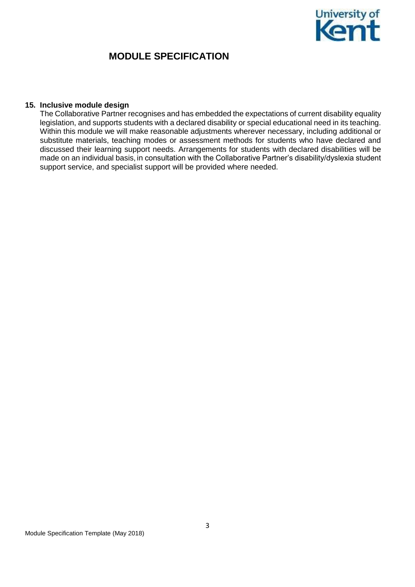

#### **15. Inclusive module design**

The Collaborative Partner recognises and has embedded the expectations of current disability equality legislation, and supports students with a declared disability or special educational need in its teaching. Within this module we will make reasonable adjustments wherever necessary, including additional or substitute materials, teaching modes or assessment methods for students who have declared and discussed their learning support needs. Arrangements for students with declared disabilities will be made on an individual basis, in consultation with the Collaborative Partner's disability/dyslexia student support service, and specialist support will be provided where needed.